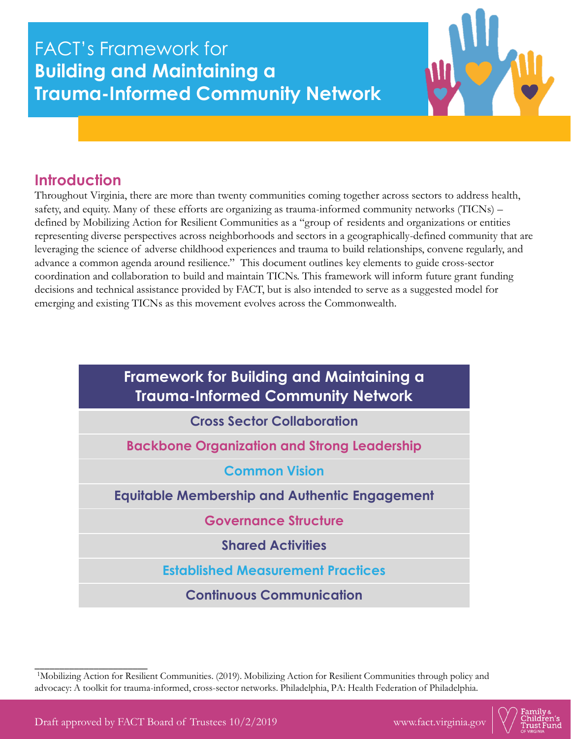# FACT's Framework for **Building and Maintaining a Trauma-Informed Community Network**



### **Introduction**

Throughout Virginia, there are more than twenty communities coming together across sectors to address health, safety, and equity. Many of these efforts are organizing as trauma-informed community networks (TICNs) – defined by Mobilizing Action for Resilient Communities as a "group of residents and organizations or entities representing diverse perspectives across neighborhoods and sectors in a geographically-defined community that are leveraging the science of adverse childhood experiences and trauma to build relationships, convene regularly, and advance a common agenda around resilience." This document outlines key elements to guide cross-sector coordination and collaboration to build and maintain TICNs. This framework will inform future grant funding decisions and technical assistance provided by FACT, but is also intended to serve as a suggested model for emerging and existing TICNs as this movement evolves across the Commonwealth.

| Framework for Building and Maintaining a<br><b>Trauma-Informed Community Network</b> |  |  |  |  |
|--------------------------------------------------------------------------------------|--|--|--|--|
| <b>Cross Sector Collaboration</b>                                                    |  |  |  |  |
| <b>Backbone Organization and Strong Leadership</b>                                   |  |  |  |  |
| <b>Common Vision</b>                                                                 |  |  |  |  |
| <b>Equitable Membership and Authentic Engagement</b>                                 |  |  |  |  |
| <b>Governance Structure</b>                                                          |  |  |  |  |
| <b>Shared Activities</b>                                                             |  |  |  |  |
| <b>Established Measurement Practices</b>                                             |  |  |  |  |
| <b>Continuous Communication</b>                                                      |  |  |  |  |

<sup>1</sup>Mobilizing Action for Resilient Communities. (2019). Mobilizing Action for Resilient Communities through policy and advocacy: A toolkit for trauma-informed, cross-sector networks. Philadelphia, PA: Health Federation of Philadelphia.

\_\_\_\_\_\_\_\_\_\_\_\_\_\_\_\_\_\_\_\_\_\_\_

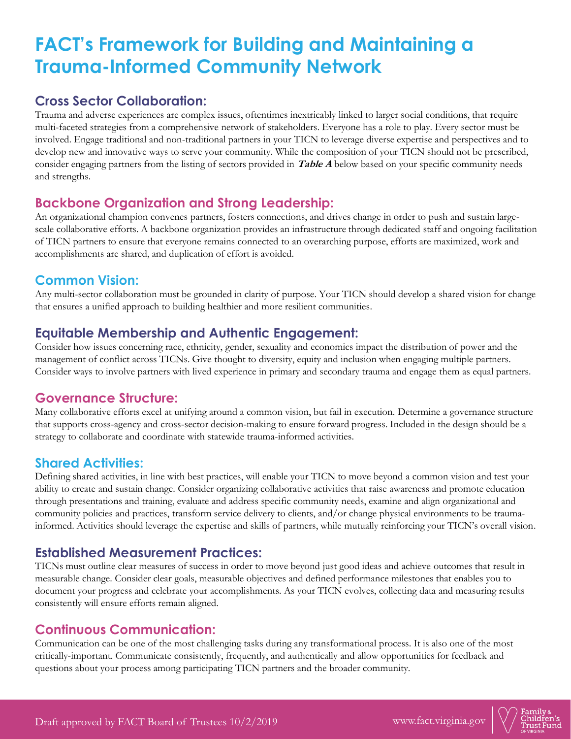# **FACT's Framework for Building and Maintaining a Trauma-Informed Community Network**

### **Cross Sector Collaboration:**

Trauma and adverse experiences are complex issues, oftentimes inextricably linked to larger social conditions, that require multi-faceted strategies from a comprehensive network of stakeholders. Everyone has a role to play. Every sector must be involved. Engage traditional and non-traditional partners in your TICN to leverage diverse expertise and perspectives and to develop new and innovative ways to serve your community. While the composition of your TICN should not be prescribed, consider engaging partners from the listing of sectors provided in **Table A** below based on your specific community needs and strengths.

#### **Backbone Organization and Strong Leadership:**

An organizational champion convenes partners, fosters connections, and drives change in order to push and sustain largescale collaborative efforts. A backbone organization provides an infrastructure through dedicated staff and ongoing facilitation of TICN partners to ensure that everyone remains connected to an overarching purpose, efforts are maximized, work and accomplishments are shared, and duplication of effort is avoided.

#### **Common Vision:**

Any multi-sector collaboration must be grounded in clarity of purpose. Your TICN should develop a shared vision for change that ensures a unified approach to building healthier and more resilient communities.

#### **Equitable Membership and Authentic Engagement:**

Consider how issues concerning race, ethnicity, gender, sexuality and economics impact the distribution of power and the management of conflict across TICNs. Give thought to diversity, equity and inclusion when engaging multiple partners. Consider ways to involve partners with lived experience in primary and secondary trauma and engage them as equal partners.

#### **Governance Structure:**

Many collaborative efforts excel at unifying around a common vision, but fail in execution. Determine a governance structure that supports cross-agency and cross-sector decision-making to ensure forward progress. Included in the design should be a strategy to collaborate and coordinate with statewide trauma-informed activities.

### **Shared Activities:**

Defining shared activities, in line with best practices, will enable your TICN to move beyond a common vision and test your ability to create and sustain change. Consider organizing collaborative activities that raise awareness and promote education through presentations and training, evaluate and address specific community needs, examine and align organizational and community policies and practices, transform service delivery to clients, and/or change physical environments to be traumainformed. Activities should leverage the expertise and skills of partners, while mutually reinforcing your TICN's overall vision.

#### **Established Measurement Practices:**

TICNs must outline clear measures of success in order to move beyond just good ideas and achieve outcomes that result in measurable change. Consider clear goals, measurable objectives and defined performance milestones that enables you to document your progress and celebrate your accomplishments. As your TICN evolves, collecting data and measuring results consistently will ensure efforts remain aligned.

### **Continuous Communication:**

Communication can be one of the most challenging tasks during any transformational process. It is also one of the most critically-important. Communicate consistently, frequently, and authentically and allow opportunities for feedback and questions about your process among participating TICN partners and the broader community.